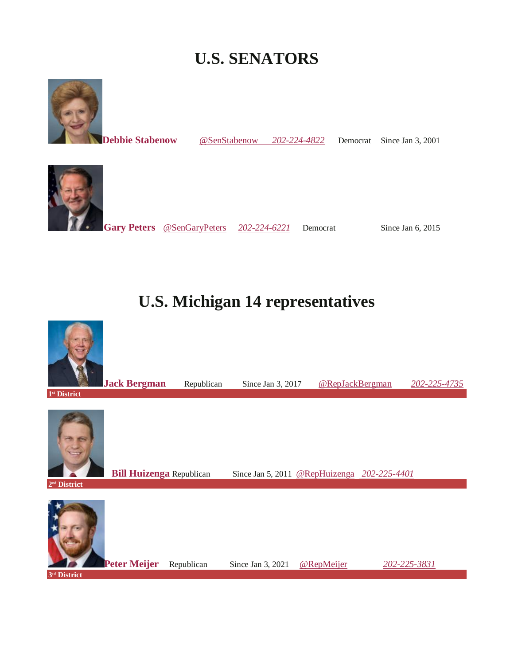# **U.S. SENATORS**



**[Debbie Stabenow](https://www.govtrack.us/congress/members/debbie_stabenow/300093)** [@SenStabenow](https://twitter.com/@SenStabenow) [202-224-4822](tel:+1-202-224-4822) Democrat Since Jan 3, 2001



**[Gary Peters](https://www.govtrack.us/congress/members/gary_peters/412305)** [@SenGaryPeters](https://twitter.com/@SenGaryPeters) *[202-224-6221](tel:+1-202-224-6221)*Democrat Since Jan 6, 2015

# **U.S. Michigan 14 representatives**

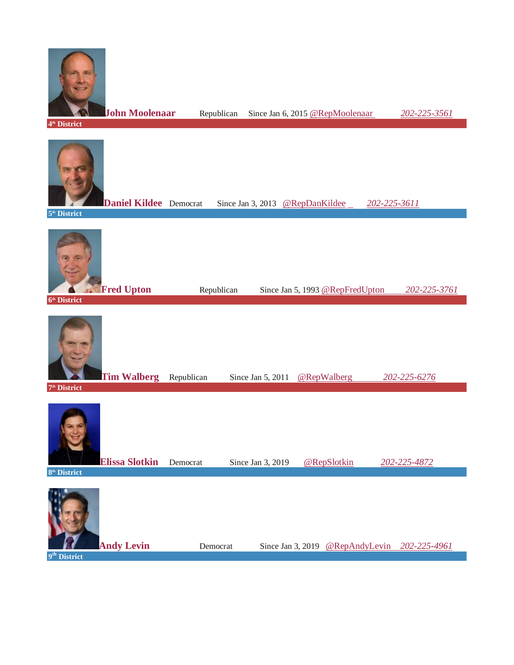

**[John Moolenaar](https://www.govtrack.us/congress/members/john_moolenaar/412634)** Republican Since Jan 6, 2015 [@RepMoolenaar](https://twitter.com/@RepMoolenaar) *[202-225-3561](tel:+1-202-225-3561)* **4 th District [Daniel Kildee](https://www.govtrack.us/congress/members/daniel_kildee/412546)** Democrat Since Jan 3, 2013 [@RepDanKildee](https://twitter.com/@RepDanKildee)[202-225-3611](tel:+1-202-225-3611) **5 th District [Fred Upton](https://www.govtrack.us/congress/members/fred_upton/400414)** Republican Since Jan 5, 1993 [@RepFredUpton](https://twitter.com/@RepFredUpton) [202-225-3761](tel:+1-202-225-3761) **6 th District [Tim Walberg](https://www.govtrack.us/congress/members/tim_walberg/412213)** Republican Since Jan 5, 2011 [@RepWalberg](https://twitter.com/@RepWalberg) *[202-225-6276](tel:+1-202-225-6276)* **7 th District**



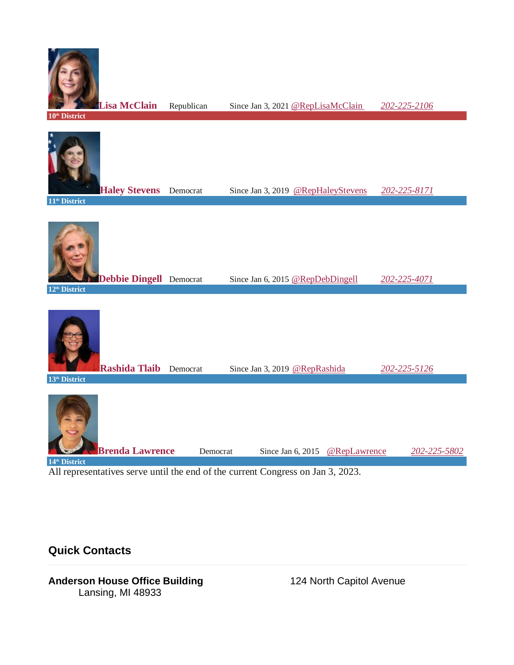

**10th District**



**14th District**

All representatives serve until the end of the current Congress on Jan 3, 2023.

**Quick Contacts**

#### Anderson House Office Building **124 North Capitol Avenue** Lansing, MI 48933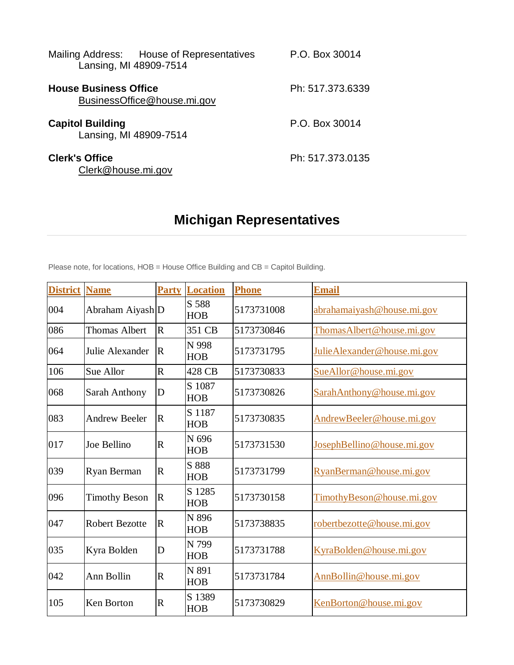| Mailing Address: House of Representatives<br>Lansing, MI 48909-7514 | P.O. Box 30014   |
|---------------------------------------------------------------------|------------------|
| <b>House Business Office</b><br>BusinessOffice@house.mi.gov         | Ph: 517.373.6339 |
| <b>Capitol Building</b><br>Lansing, MI 48909-7514                   | P.O. Box 30014   |
| <b>Clerk's Office</b><br>Clerk@house.mi.gov                         | Ph: 517.373.0135 |

# **Michigan Representatives**

Please note, for locations, HOB = House Office Building and CB = Capitol Building.

| <b>District</b> | <b>Name</b>           | <b>Party</b>            | <b>Location</b>      | <b>Phone</b> | <b>Email</b>                 |
|-----------------|-----------------------|-------------------------|----------------------|--------------|------------------------------|
| 004             | Abraham Aiyash D      |                         | S 588<br><b>HOB</b>  | 5173731008   | abrahamaiyash@house.mi.gov   |
| 086             | <b>Thomas Albert</b>  | $\overline{\mathbf{R}}$ | 351 CB               | 5173730846   | Thomas Albert @house.mi.gov  |
| 064             | Julie Alexander       | $\overline{R}$          | N 998<br><b>HOB</b>  | 5173731795   | Julie Alexander@house.mi.gov |
| 106             | Sue Allor             | $\mathbf R$             | 428 CB               | 5173730833   | SueAllor@house.mi.gov        |
| 068             | <b>Sarah Anthony</b>  | D                       | S 1087<br><b>HOB</b> | 5173730826   | SarahAnthony@house.mi.gov    |
| 083             | <b>Andrew Beeler</b>  | $\overline{\mathbf{R}}$ | S 1187<br><b>HOB</b> | 5173730835   | AndrewBeeler@house.mi.gov    |
| 017             | Joe Bellino           | $\mathbf R$             | N 696<br><b>HOB</b>  | 5173731530   | JosephBellino@house.mi.gov   |
| 039             | Ryan Berman           | $\overline{\mathsf{R}}$ | S 888<br><b>HOB</b>  | 5173731799   | RyanBerman@house.mi.gov      |
| 096             | <b>Timothy Beson</b>  | $\overline{\mathbf{R}}$ | S 1285<br><b>HOB</b> | 5173730158   | TimothyBeson@house.mi.gov    |
| 047             | <b>Robert Bezotte</b> | $\mathbf R$             | N 896<br><b>HOB</b>  | 5173738835   | robertbezotte@house.mi.gov   |
| 035             | Kyra Bolden           | D                       | N 799<br><b>HOB</b>  | 5173731788   | KyraBolden@house.mi.gov      |
| 042             | Ann Bollin            | $\mathbf R$             | N 891<br><b>HOB</b>  | 5173731784   | AnnBollin@house.mi.gov       |
| 105             | Ken Borton            | $\mathbf R$             | S 1389<br><b>HOB</b> | 5173730829   | KenBorton@house.mi.gov       |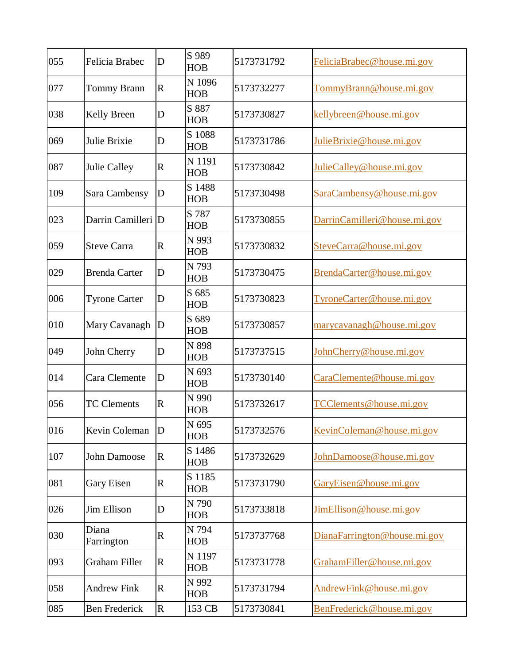| 055 | Felicia Brabec       | D           | S 989<br><b>HOB</b>  | 5173731792 | FeliciaBrabec@house.mi.gov   |
|-----|----------------------|-------------|----------------------|------------|------------------------------|
| 077 | <b>Tommy Brann</b>   | $\mathbf R$ | N 1096<br><b>HOB</b> | 5173732277 | TommyBrann@house.mi.gov      |
| 038 | <b>Kelly Breen</b>   | D           | S 887<br><b>HOB</b>  | 5173730827 | kellybreen@house.mi.gov      |
| 069 | Julie Brixie         | D           | S 1088<br><b>HOB</b> | 5173731786 | JulieBrixie@house.mi.gov     |
| 087 | <b>Julie Calley</b>  | $\mathbf R$ | N 1191<br><b>HOB</b> | 5173730842 | JulieCalley@house.mi.gov     |
| 109 | Sara Cambensy        | D           | S 1488<br><b>HOB</b> | 5173730498 | SaraCambensy@house.mi.gov    |
| 023 | Darrin Camilleri D   |             | S 787<br><b>HOB</b>  | 5173730855 | DarrinCamilleri@house.mi.gov |
| 059 | <b>Steve Carra</b>   | $\mathbf R$ | N 993<br><b>HOB</b>  | 5173730832 | SteveCarra@house.mi.gov      |
| 029 | <b>Brenda Carter</b> | D           | N 793<br><b>HOB</b>  | 5173730475 | BrendaCarter@house.mi.gov    |
| 006 | <b>Tyrone Carter</b> | D           | S 685<br><b>HOB</b>  | 5173730823 | TyroneCarter@house.mi.gov    |
| 010 | Mary Cavanagh        | D           | S 689<br><b>HOB</b>  | 5173730857 | marycavanagh@house.mi.gov    |
| 049 | John Cherry          | D           | N 898<br><b>HOB</b>  | 5173737515 | JohnCherry@house.mi.gov      |
| 014 | Cara Clemente        | D           | N 693<br><b>HOB</b>  | 5173730140 | CaraClemente@house.mi.gov    |
| 056 | <b>TC Clements</b>   | $\mathbf R$ | N 990<br><b>HOB</b>  | 5173732617 | TCClements@house.mi.gov      |
| 016 | Kevin Coleman        | D           | N 695<br>HOB         | 5173732576 | KevinColeman@house.mi.gov    |
| 107 | John Damoose         | $\mathbf R$ | S 1486<br><b>HOB</b> | 5173732629 | JohnDamoose@house.mi.gov     |
| 081 | Gary Eisen           | $\mathbf R$ | S 1185<br><b>HOB</b> | 5173731790 | GaryEisen@house.mi.gov       |
| 026 | Jim Ellison          | D           | N 790<br><b>HOB</b>  | 5173733818 | JimEllison@house.mi.gov      |
| 030 | Diana<br>Farrington  | $\mathbf R$ | N 794<br><b>HOB</b>  | 5173737768 | DianaFarrington@house.mi.gov |
| 093 | <b>Graham Filler</b> | $\mathbf R$ | N 1197<br><b>HOB</b> | 5173731778 | GrahamFiller@house.mi.gov    |
| 058 | <b>Andrew Fink</b>   | $\mathbf R$ | N 992<br><b>HOB</b>  | 5173731794 | AndrewFink@house.mi.gov      |
| 085 | <b>Ben Frederick</b> | $\mathbf R$ | 153 CB               | 5173730841 | BenFrederick@house.mi.gov    |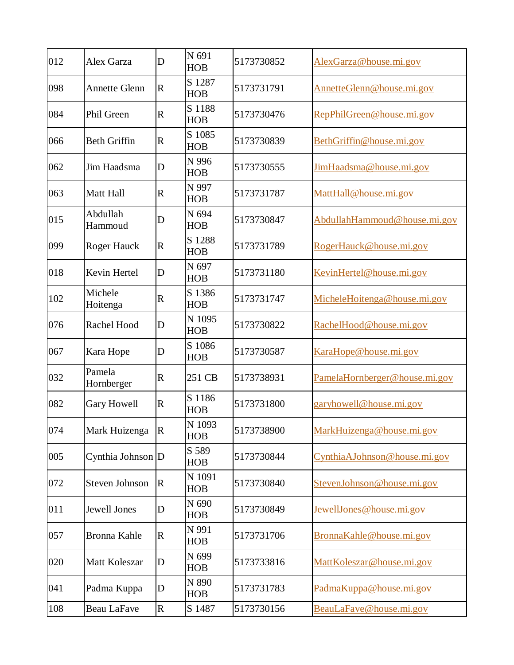| 012 | Alex Garza            | D               | N 691<br><b>HOB</b>  | 5173730852 | AlexGarza@house.mi.gov        |
|-----|-----------------------|-----------------|----------------------|------------|-------------------------------|
| 098 | <b>Annette Glenn</b>  | $\mathbb{R}$    | S 1287<br><b>HOB</b> | 5173731791 | AnnetteGlenn@house.mi.gov     |
| 084 | Phil Green            | $\mathbf R$     | S 1188<br><b>HOB</b> | 5173730476 | RepPhilGreen@house.mi.gov     |
| 066 | <b>Beth Griffin</b>   | R               | S 1085<br><b>HOB</b> | 5173730839 | BethGriffin@house.mi.gov      |
| 062 | Jim Haadsma           | D               | N 996<br><b>HOB</b>  | 5173730555 | JimHaadsma@house.mi.gov       |
| 063 | <b>Matt Hall</b>      | $\mathsf{R}$    | N 997<br><b>HOB</b>  | 5173731787 | MattHall@house.mi.gov         |
| 015 | Abdullah<br>Hammoud   | D               | N 694<br><b>HOB</b>  | 5173730847 | AbdullahHammoud@house.mi.gov  |
| 099 | Roger Hauck           | $\mathbf R$     | S 1288<br><b>HOB</b> | 5173731789 | RogerHauck@house.mi.gov       |
| 018 | Kevin Hertel          | D               | N 697<br><b>HOB</b>  | 5173731180 | KevinHertel@house.mi.gov      |
| 102 | Michele<br>Hoitenga   | $\mathsf{R}$    | S 1386<br><b>HOB</b> | 5173731747 | MicheleHoitenga@house.mi.gov  |
| 076 | Rachel Hood           | D               | N 1095<br><b>HOB</b> | 5173730822 | RachelHood@house.mi.gov       |
| 067 | Kara Hope             | D               | S 1086<br><b>HOB</b> | 5173730587 | KaraHope@house.mi.gov         |
| 032 | Pamela<br>Hornberger  | R               | 251 CB               | 5173738931 | PamelaHornberger@house.mi.gov |
| 082 | Gary Howell           | $\mathsf{R}$    | S 1186<br><b>HOB</b> | 5173731800 | garyhowell@house.mi.gov       |
| 074 | Mark Huizenga         | $\vert R \vert$ | N 1093<br><b>HOB</b> | 5173738900 | MarkHuizenga@house.mi.gov     |
| 005 | Cynthia Johnson D     |                 | S 589<br><b>HOB</b>  | 5173730844 | CynthiaAJohnson@house.mi.gov  |
| 072 | <b>Steven Johnson</b> | $\mathsf R$     | N 1091<br><b>HOB</b> | 5173730840 | StevenJohnson@house.mi.gov    |
| 011 | <b>Jewell Jones</b>   | D               | N 690<br><b>HOB</b>  | 5173730849 | JewellJones@house.mi.gov      |
| 057 | Bronna Kahle          | R               | N 991<br><b>HOB</b>  | 5173731706 | BronnaKahle@house.mi.gov      |
| 020 | Matt Koleszar         | D               | N 699<br><b>HOB</b>  | 5173733816 | MattKoleszar@house.mi.gov     |
| 041 | Padma Kuppa           | D               | N 890<br><b>HOB</b>  | 5173731783 | PadmaKuppa@house.mi.gov       |
| 108 | <b>Beau LaFave</b>    | R               | S 1487               | 5173730156 | BeauLaFave@house.mi.gov       |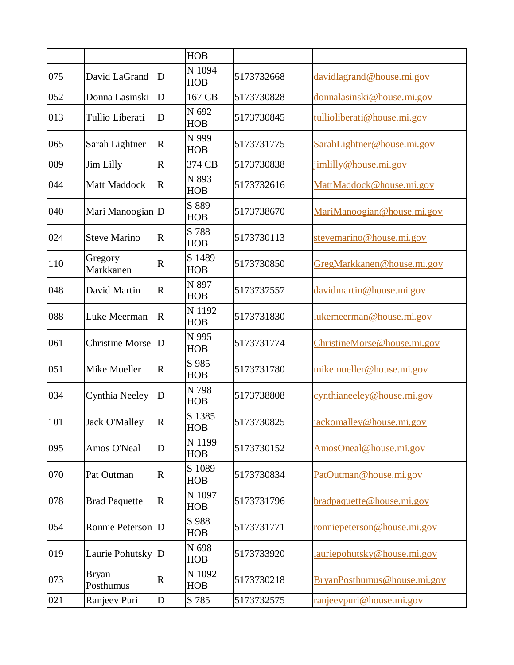|     |                           |                         | <b>HOB</b>           |            |                             |
|-----|---------------------------|-------------------------|----------------------|------------|-----------------------------|
| 075 | David LaGrand             | D                       | N 1094<br><b>HOB</b> | 5173732668 | davidlagrand@house.mi.gov   |
| 052 | Donna Lasinski            | D                       | 167 CB               | 5173730828 | donnalasinski@house.mi.gov  |
| 013 | Tullio Liberati           | D                       | N 692<br><b>HOB</b>  | 5173730845 | tullioliberati@house.mi.gov |
| 065 | Sarah Lightner            | $\mathbf R$             | N 999<br><b>HOB</b>  | 5173731775 | SarahLightner@house.mi.gov  |
| 089 | Jim Lilly                 | $\overline{\mathrm{R}}$ | 374 CB               | 5173730838 | jimlilly@house.mi.gov       |
| 044 | Matt Maddock              | $\mathbf R$             | N 893<br><b>HOB</b>  | 5173732616 | MattMaddock@house.mi.gov    |
| 040 | Mari Manoogian D          |                         | S 889<br><b>HOB</b>  | 5173738670 | MariManoogian@house.mi.gov  |
| 024 | <b>Steve Marino</b>       | $\mathbf R$             | S 788<br><b>HOB</b>  | 5173730113 | stevemarino@house.mi.gov    |
| 110 | Gregory<br>Markkanen      | $\mathbf R$             | S 1489<br><b>HOB</b> | 5173730850 | GregMarkkanen@house.mi.gov  |
| 048 | David Martin              | $\mathbf R$             | N 897<br><b>HOB</b>  | 5173737557 | davidmartin@house.mi.gov    |
| 088 | Luke Meerman              | $\mathbf R$             | N 1192<br><b>HOB</b> | 5173731830 | lukemeerman@house.mi.gov    |
| 061 | <b>Christine Morse</b>    | D                       | N 995<br><b>HOB</b>  | 5173731774 | ChristineMorse@house.mi.gov |
| 051 | Mike Mueller              | $\mathbf R$             | S 985<br><b>HOB</b>  | 5173731780 | mikemueller@house.mi.gov    |
| 034 | Cynthia Neeley            | $\mathbf D$             | N 798<br><b>HOB</b>  | 5173738808 | cynthianeeley@house.mi.gov  |
| 101 | <b>Jack O'Malley</b>      | R                       | S 1385<br><b>HOB</b> | 5173730825 | jackomalley@house.mi.gov    |
| 095 | Amos O'Neal               | D                       | N 1199<br><b>HOB</b> | 5173730152 | AmosOneal@house.mi.gov      |
| 070 | Pat Outman                | $\mathbf R$             | S 1089<br><b>HOB</b> | 5173730834 | PatOutman@house.mi.gov      |
| 078 | <b>Brad Paquette</b>      | $\mathbf R$             | N 1097<br><b>HOB</b> | 5173731796 | bradpaquette@house.mi.gov   |
| 054 | Ronnie Peterson D         |                         | S 988<br><b>HOB</b>  | 5173731771 | ronniepeterson@house.mi.gov |
| 019 | Laurie Pohutsky D         |                         | N 698<br><b>HOB</b>  | 5173733920 | lauriepohutsky@house.mi.gov |
| 073 | <b>Bryan</b><br>Posthumus | $\mathbf R$             | N 1092<br><b>HOB</b> | 5173730218 | BryanPosthumus@house.mi.gov |
| 021 | Ranjeev Puri              | $\mathbf D$             | S 785                | 5173732575 | ranjeevpuri@house.mi.gov    |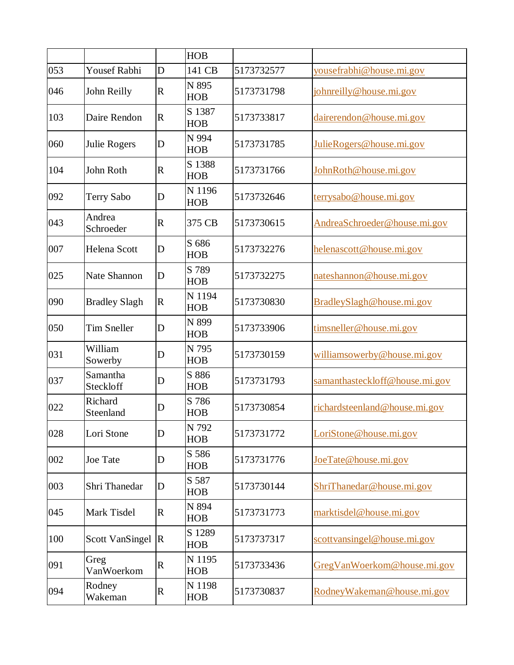|     |                        |                | <b>HOB</b>           |            |                                |
|-----|------------------------|----------------|----------------------|------------|--------------------------------|
| 053 | <b>Yousef Rabhi</b>    | D              | 141 CB               | 5173732577 | yousefrabhi@house.mi.gov       |
| 046 | John Reilly            | $\mathbf R$    | N 895<br><b>HOB</b>  | 5173731798 | johnreilly@house.mi.gov        |
| 103 | Daire Rendon           | $\mathbf R$    | S 1387<br><b>HOB</b> | 5173733817 | dairerendon@house.mi.gov       |
| 060 | Julie Rogers           | D              | N 994<br><b>HOB</b>  | 5173731785 | JulieRogers@house.mi.gov       |
| 104 | John Roth              | $\mathbb{R}$   | S 1388<br><b>HOB</b> | 5173731766 | JohnRoth@house.mi.gov          |
| 092 | <b>Terry Sabo</b>      | D              | N 1196<br><b>HOB</b> | 5173732646 | terrysabo@house.mi.gov         |
| 043 | Andrea<br>Schroeder    | $\mathbf R$    | 375 CB               | 5173730615 | AndreaSchroeder@house.mi.gov   |
| 007 | <b>Helena Scott</b>    | D              | S 686<br><b>HOB</b>  | 5173732276 | helenascott@house.mi.gov       |
| 025 | <b>Nate Shannon</b>    | D              | S 789<br><b>HOB</b>  | 5173732275 | nateshannon@house.mi.gov       |
| 090 | <b>Bradley Slagh</b>   | $\mathbf R$    | N 1194<br><b>HOB</b> | 5173730830 | BradleySlagh@house.mi.gov      |
| 050 | <b>Tim Sneller</b>     | D              | N 899<br><b>HOB</b>  | 5173733906 | timsneller@house.mi.gov        |
| 031 | William<br>Sowerby     | D              | N 795<br><b>HOB</b>  | 5173730159 | williamsowerby@house.mi.gov    |
| 037 | Samantha<br>Steckloff  | D              | S 886<br><b>HOB</b>  | 5173731793 | samanthasteckloff@house.mi.gov |
| 022 | Richard<br>Steenland   | D              | S 786<br><b>HOB</b>  | 5173730854 | richardsteenland@house.mi.gov  |
| 028 | Lori Stone             | D              | N 792<br><b>HOB</b>  | 5173731772 | LoriStone@house.mi.gov         |
| 002 | <b>Joe Tate</b>        | D              | S 586<br><b>HOB</b>  | 5173731776 | JoeTate@house.mi.gov           |
| 003 | Shri Thanedar          | D              | S 587<br><b>HOB</b>  | 5173730144 | ShriThanedar@house.mi.gov      |
| 045 | Mark Tisdel            | $\mathbf R$    | N 894<br><b>HOB</b>  | 5173731773 | marktisdel@house.mi.gov        |
| 100 | <b>Scott VanSingel</b> | $\overline{R}$ | S 1289<br><b>HOB</b> | 5173737317 | scottvansingel@house.mi.gov    |
| 091 | Greg<br>VanWoerkom     | $\mathbf R$    | N 1195<br><b>HOB</b> | 5173733436 | GregVanWoerkom@house.mi.gov    |
| 094 | Rodney<br>Wakeman      | $\mathbf R$    | N 1198<br><b>HOB</b> | 5173730837 | RodneyWakeman@house.mi.gov     |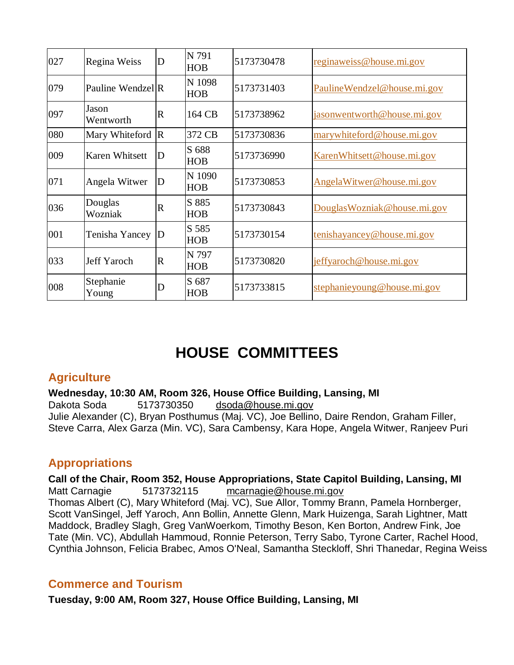| 027 | Regina Weiss                 | D                     | N 791<br><b>HOB</b>  | 5173730478 | reginaweiss@house.mi.gov      |
|-----|------------------------------|-----------------------|----------------------|------------|-------------------------------|
| 079 | Pauline Wendzel <sup>R</sup> |                       | N 1098<br><b>HOB</b> | 5173731403 | PaulineWendzel@house.mi.gov   |
| 097 | Jason<br>Wentworth           | $\mathbf R$           | 164 CB               | 5173738962 | jasonwentworth@house.mi.gov   |
| 080 | Mary Whiteford R             |                       | 372 CB               | 5173730836 | marywhiteford@house.mi.gov    |
| 009 | Karen Whitsett               | ID                    | S 688<br><b>HOB</b>  | 5173736990 | KarenWhitsett@house.mi.gov    |
| 071 | Angela Witwer                | ID                    | N 1090<br><b>HOB</b> | 5173730853 | AngelaWitwer@house.mi.gov     |
| 036 | Douglas<br>Wozniak           | $\mathbf R$           | S 885<br><b>HOB</b>  | 5173730843 | Douglas Wozniak @house.mi.gov |
| 001 | Tenisha Yancey               | $\mathbf D$           | S 585<br><b>HOB</b>  | 5173730154 | tenishayancey@house.mi.gov    |
| 033 | <b>Jeff Yaroch</b>           | $\overline{\text{R}}$ | N 797<br><b>HOB</b>  | 5173730820 | jeffyaroch@house.mi.gov       |
| 008 | Stephanie<br>Young           | D                     | S 687<br><b>HOB</b>  | 5173733815 | stephanieyoung@house.mi.gov   |

# **HOUSE COMMITTEES**

# **Agriculture**

**Wednesday, 10:30 AM, Room 326, House Office Building, Lansing, MI**

Dakota Soda 5173730350 [dsoda@house.mi.gov](mailto:dsoda@house.mi.gov) Julie Alexander (C), Bryan Posthumus (Maj. VC), Joe Bellino, Daire Rendon, Graham Filler, Steve Carra, Alex Garza (Min. VC), Sara Cambensy, Kara Hope, Angela Witwer, Ranjeev Puri

# **Appropriations**

**Call of the Chair, Room 352, House Appropriations, State Capitol Building, Lansing, MI** Matt Carnagie 5173732115 [mcarnagie@house.mi.gov](mailto:mcarnagie@house.mi.gov) Thomas Albert (C), Mary Whiteford (Maj. VC), Sue Allor, Tommy Brann, Pamela Hornberger, Scott VanSingel, Jeff Yaroch, Ann Bollin, Annette Glenn, Mark Huizenga, Sarah Lightner, Matt Maddock, Bradley Slagh, Greg VanWoerkom, Timothy Beson, Ken Borton, Andrew Fink, Joe Tate (Min. VC), Abdullah Hammoud, Ronnie Peterson, Terry Sabo, Tyrone Carter, Rachel Hood, Cynthia Johnson, Felicia Brabec, Amos O'Neal, Samantha Steckloff, Shri Thanedar, Regina Weiss

# **Commerce and Tourism**

**Tuesday, 9:00 AM, Room 327, House Office Building, Lansing, MI**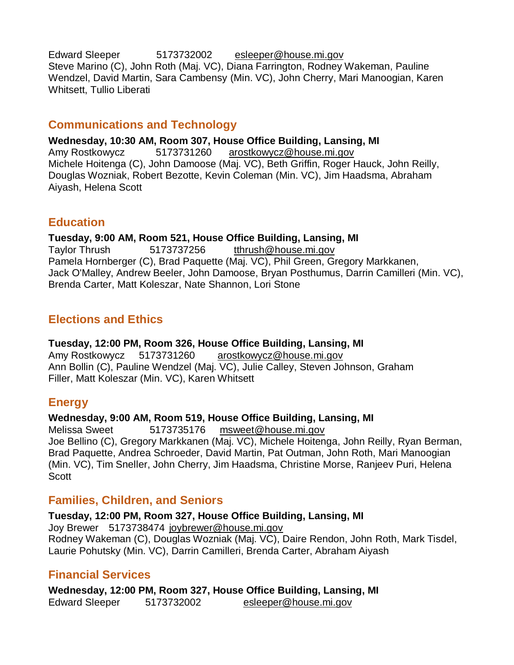Edward Sleeper 5173732002 [esleeper@house.mi.gov](mailto:esleeper@house.mi.gov) Steve Marino (C), John Roth (Maj. VC), Diana Farrington, Rodney Wakeman, Pauline Wendzel, David Martin, Sara Cambensy (Min. VC), John Cherry, Mari Manoogian, Karen Whitsett, Tullio Liberati

# **Communications and Technology**

**Wednesday, 10:30 AM, Room 307, House Office Building, Lansing, MI** Amy Rostkowycz 5173731260 [arostkowycz@house.mi.gov](mailto:arostkowycz@house.mi.gov) Michele Hoitenga (C), John Damoose (Maj. VC), Beth Griffin, Roger Hauck, John Reilly, Douglas Wozniak, Robert Bezotte, Kevin Coleman (Min. VC), Jim Haadsma, Abraham Aiyash, Helena Scott

# **Education**

# **Tuesday, 9:00 AM, Room 521, House Office Building, Lansing, MI**

Taylor Thrush 5173737256 [tthrush@house.mi.gov](mailto:tthrush@house.mi.gov) Pamela Hornberger (C), Brad Paquette (Maj. VC), Phil Green, Gregory Markkanen, Jack O'Malley, Andrew Beeler, John Damoose, Bryan Posthumus, Darrin Camilleri (Min. VC), Brenda Carter, Matt Koleszar, Nate Shannon, Lori Stone

# **Elections and Ethics**

# **Tuesday, 12:00 PM, Room 326, House Office Building, Lansing, MI**

Amy Rostkowycz 5173731260 [arostkowycz@house.mi.gov](mailto:arostkowycz@house.mi.gov) Ann Bollin (C), Pauline Wendzel (Maj. VC), Julie Calley, Steven Johnson, Graham Filler, Matt Koleszar (Min. VC), Karen Whitsett

# **Energy**

#### **Wednesday, 9:00 AM, Room 519, House Office Building, Lansing, MI**

Melissa Sweet 5173735176 [msweet@house.mi.gov](mailto:msweet@house.mi.gov)  Joe Bellino (C), Gregory Markkanen (Maj. VC), Michele Hoitenga, John Reilly, Ryan Berman, Brad Paquette, Andrea Schroeder, David Martin, Pat Outman, John Roth, Mari Manoogian (Min. VC), Tim Sneller, John Cherry, Jim Haadsma, Christine Morse, Ranjeev Puri, Helena **Scott** 

# **Families, Children, and Seniors**

**Tuesday, 12:00 PM, Room 327, House Office Building, Lansing, MI** Joy Brewer 5173738474 [joybrewer@house.mi.gov](mailto:joybrewer@house.mi.gov) Rodney Wakeman (C), Douglas Wozniak (Maj. VC), Daire Rendon, John Roth, Mark Tisdel, Laurie Pohutsky (Min. VC), Darrin Camilleri, Brenda Carter, Abraham Aiyash

# **Financial Services**

**Wednesday, 12:00 PM, Room 327, House Office Building, Lansing, MI** Edward Sleeper 5173732002 [esleeper@house.mi.gov](mailto:esleeper@house.mi.gov)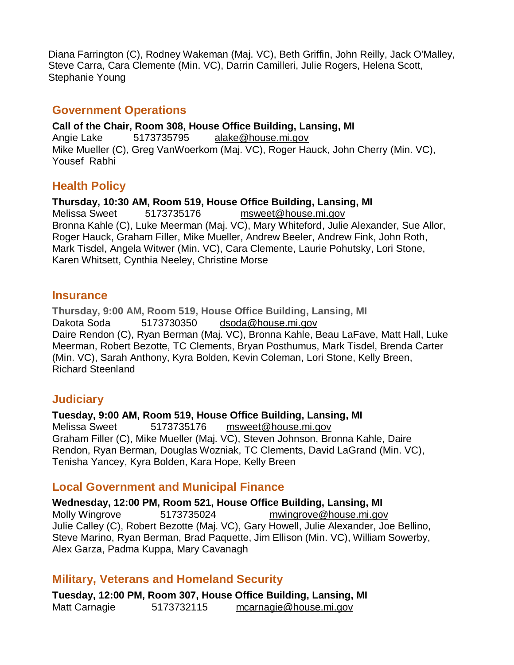Diana Farrington (C), Rodney Wakeman (Maj. VC), Beth Griffin, John Reilly, Jack O'Malley, Steve Carra, Cara Clemente (Min. VC), Darrin Camilleri, Julie Rogers, Helena Scott, Stephanie Young

#### **Government Operations**

**Call of the Chair, Room 308, House Office Building, Lansing, MI** Angie Lake 5173735795 [alake@house.mi.gov](mailto:alake@house.mi.gov) Mike Mueller (C), Greg VanWoerkom (Maj. VC), Roger Hauck, John Cherry (Min. VC), Yousef Rabhi

# **Health Policy**

**Thursday, 10:30 AM, Room 519, House Office Building, Lansing, MI** Melissa Sweet 5173735176 [msweet@house.mi.gov](mailto:msweet@house.mi.gov) Bronna Kahle (C), Luke Meerman (Maj. VC), Mary Whiteford, Julie Alexander, Sue Allor, Roger Hauck, Graham Filler, Mike Mueller, Andrew Beeler, Andrew Fink, John Roth, Mark Tisdel, Angela Witwer (Min. VC), Cara Clemente, Laurie Pohutsky, Lori Stone, Karen Whitsett, Cynthia Neeley, Christine Morse

#### **Insurance**

**Thursday, 9:00 AM, Room 519, House Office Building, Lansing, MI** Dakota Soda 5173730350 [dsoda@house.mi.gov](mailto:dsoda@house.mi.gov) Daire Rendon (C), Ryan Berman (Maj. VC), Bronna Kahle, Beau LaFave, Matt Hall, Luke Meerman, Robert Bezotte, TC Clements, Bryan Posthumus, Mark Tisdel, Brenda Carter (Min. VC), Sarah Anthony, Kyra Bolden, Kevin Coleman, Lori Stone, Kelly Breen, Richard Steenland

# **Judiciary**

**Tuesday, 9:00 AM, Room 519, House Office Building, Lansing, MI** Melissa Sweet 5173735176 [msweet@house.mi.gov](mailto:msweet@house.mi.gov) Graham Filler (C), Mike Mueller (Maj. VC), Steven Johnson, Bronna Kahle, Daire Rendon, Ryan Berman, Douglas Wozniak, TC Clements, David LaGrand (Min. VC), Tenisha Yancey, Kyra Bolden, Kara Hope, Kelly Breen

# **Local Government and Municipal Finance**

**Wednesday, 12:00 PM, Room 521, House Office Building, Lansing, MI** Molly Wingrove 5173735024 [mwingrove@house.mi.gov](mailto:mwingrove@house.mi.gov) Julie Calley (C), Robert Bezotte (Maj. VC), Gary Howell, Julie Alexander, Joe Bellino, Steve Marino, Ryan Berman, Brad Paquette, Jim Ellison (Min. VC), William Sowerby, Alex Garza, Padma Kuppa, Mary Cavanagh

# **Military, Veterans and Homeland Security**

**Tuesday, 12:00 PM, Room 307, House Office Building, Lansing, MI** Matt Carnagie 5173732115 [mcarnagie@house.mi.gov](mailto:mcarnagie@house.mi.gov)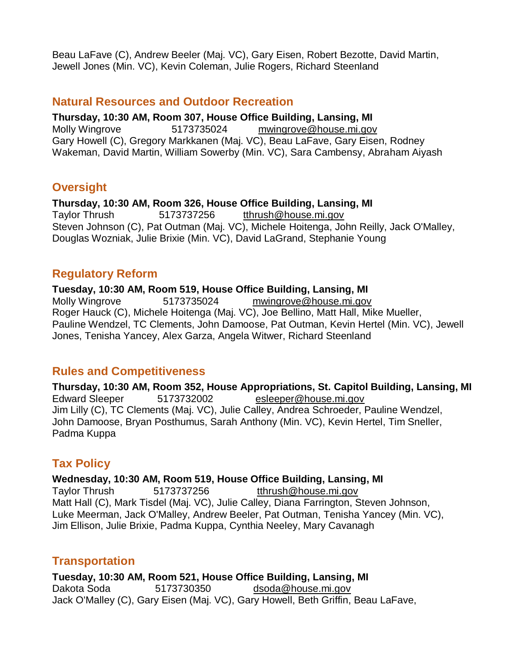Beau LaFave (C), Andrew Beeler (Maj. VC), Gary Eisen, Robert Bezotte, David Martin, Jewell Jones (Min. VC), Kevin Coleman, Julie Rogers, Richard Steenland

#### **Natural Resources and Outdoor Recreation**

**Thursday, 10:30 AM, Room 307, House Office Building, Lansing, MI** Molly Wingrove 5173735024 [mwingrove@house.mi.gov](mailto:mwingrove@house.mi.gov) Gary Howell (C), Gregory Markkanen (Maj. VC), Beau LaFave, Gary Eisen, Rodney Wakeman, David Martin, William Sowerby (Min. VC), Sara Cambensy, Abraham Aiyash

# **Oversight**

**Thursday, 10:30 AM, Room 326, House Office Building, Lansing, MI**

Taylor Thrush 5173737256 [tthrush@house.mi.gov](mailto:tthrush@house.mi.gov) Steven Johnson (C), Pat Outman (Maj. VC), Michele Hoitenga, John Reilly, Jack O'Malley, Douglas Wozniak, Julie Brixie (Min. VC), David LaGrand, Stephanie Young

# **Regulatory Reform**

**Tuesday, 10:30 AM, Room 519, House Office Building, Lansing, MI** Molly Wingrove 5173735024 [mwingrove@house.mi.gov](mailto:mwingrove@house.mi.gov) Roger Hauck (C), Michele Hoitenga (Maj. VC), Joe Bellino, Matt Hall, Mike Mueller, Pauline Wendzel, TC Clements, John Damoose, Pat Outman, Kevin Hertel (Min. VC), Jewell Jones, Tenisha Yancey, Alex Garza, Angela Witwer, Richard Steenland

# **Rules and Competitiveness**

**Thursday, 10:30 AM, Room 352, House Appropriations, St. Capitol Building, Lansing, MI** Edward Sleeper 5173732002 [esleeper@house.mi.gov](mailto:esleeper@house.mi.gov) Jim Lilly (C), TC Clements (Maj. VC), Julie Calley, Andrea Schroeder, Pauline Wendzel, John Damoose, Bryan Posthumus, Sarah Anthony (Min. VC), Kevin Hertel, Tim Sneller, Padma Kuppa

# **Tax Policy**

**Wednesday, 10:30 AM, Room 519, House Office Building, Lansing, MI**

Taylor Thrush 5173737256 [tthrush@house.mi.gov](mailto:tthrush@house.mi.gov) Matt Hall (C), Mark Tisdel (Maj. VC), Julie Calley, Diana Farrington, Steven Johnson, Luke Meerman, Jack O'Malley, Andrew Beeler, Pat Outman, Tenisha Yancey (Min. VC), Jim Ellison, Julie Brixie, Padma Kuppa, Cynthia Neeley, Mary Cavanagh

# **Transportation**

**Tuesday, 10:30 AM, Room 521, House Office Building, Lansing, MI** Dakota Soda 5173730350 [dsoda@house.mi.gov](mailto:dsoda@house.mi.gov) Jack O'Malley (C), Gary Eisen (Maj. VC), Gary Howell, Beth Griffin, Beau LaFave,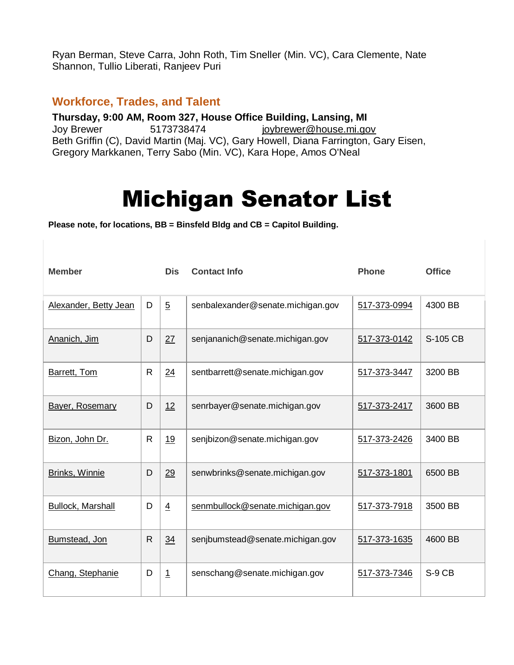Ryan Berman, Steve Carra, John Roth, Tim Sneller (Min. VC), Cara Clemente, Nate Shannon, Tullio Liberati, Ranjeev Puri

#### **Workforce, Trades, and Talent**

**Thursday, 9:00 AM, Room 327, House Office Building, Lansing, MI** Joy Brewer 5173738474 [joybrewer@house.mi.gov](mailto:joybrewer@house.mi.gov) Beth Griffin (C), David Martin (Maj. VC), Gary Howell, Diana Farrington, Gary Eisen, Gregory Markkanen, Terry Sabo (Min. VC), Kara Hope, Amos O'Neal

# Michigan Senator List

**Please note, for locations, BB = Binsfeld Bldg and CB = Capitol Building.**

| <b>Member</b>            |              | <b>Dis</b>     | <b>Contact Info</b>               | <b>Phone</b> | <b>Office</b> |
|--------------------------|--------------|----------------|-----------------------------------|--------------|---------------|
| Alexander, Betty Jean    | D            | $\overline{5}$ | senbalexander@senate.michigan.gov | 517-373-0994 | 4300 BB       |
| Ananich, Jim             | D            | 27             | senjananich@senate.michigan.gov   | 517-373-0142 | S-105 CB      |
| Barrett, Tom             | $\mathsf{R}$ | 24             | sentbarrett@senate.michigan.gov   | 517-373-3447 | 3200 BB       |
| <b>Bayer, Rosemary</b>   | D            | 12             | senrbayer@senate.michigan.gov     | 517-373-2417 | 3600 BB       |
| Bizon, John Dr.          | $\mathsf{R}$ | 19             | senjbizon@senate.michigan.gov     | 517-373-2426 | 3400 BB       |
| Brinks, Winnie           | D            | 29             | senwbrinks@senate.michigan.gov    | 517-373-1801 | 6500 BB       |
| <b>Bullock, Marshall</b> | D            | $\overline{4}$ | senmbullock@senate.michigan.gov   | 517-373-7918 | 3500 BB       |
| Bumstead, Jon            | $\mathsf{R}$ | 34             | senjbumstead@senate.michigan.gov  | 517-373-1635 | 4600 BB       |
| Chang, Stephanie         | D            | $\overline{1}$ | senschang@senate.michigan.gov     | 517-373-7346 | S-9 CB        |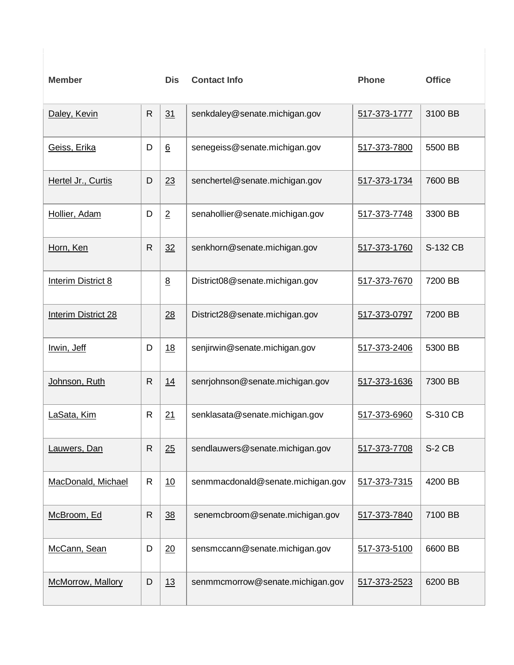| <b>Member</b>              |              | <b>Dis</b>      | <b>Contact Info</b>               | <b>Phone</b> | <b>Office</b> |
|----------------------------|--------------|-----------------|-----------------------------------|--------------|---------------|
| Daley, Kevin               | $\mathsf{R}$ | 31              | senkdaley@senate.michigan.gov     | 517-373-1777 | 3100 BB       |
| Geiss, Erika               | D            | $6\overline{6}$ | senegeiss@senate.michigan.gov     | 517-373-7800 | 5500 BB       |
| Hertel Jr., Curtis         | D            | 23              | senchertel@senate.michigan.gov    | 517-373-1734 | 7600 BB       |
| Hollier, Adam              | D            | $\overline{2}$  | senahollier@senate.michigan.gov   | 517-373-7748 | 3300 BB       |
| Horn, Ken                  | R            | 32              | senkhorn@senate.michigan.gov      | 517-373-1760 | S-132 CB      |
| <b>Interim District 8</b>  |              | $\underline{8}$ | District08@senate.michigan.gov    | 517-373-7670 | 7200 BB       |
| <b>Interim District 28</b> |              | 28              | District28@senate.michigan.gov    | 517-373-0797 | 7200 BB       |
| Irwin, Jeff                | D            | 18              | senjirwin@senate.michigan.gov     | 517-373-2406 | 5300 BB       |
| Johnson, Ruth              | R            | 14              | senrjohnson@senate.michigan.gov   | 517-373-1636 | 7300 BB       |
| LaSata, Kim                | $\mathsf{R}$ | 21              | senklasata@senate.michigan.gov    | 517-373-6960 | S-310 CB      |
| Lauwers, Dan               | ${\sf R}$    | 25              | sendlauwers@senate.michigan.gov   | 517-373-7708 | $S-2$ CB      |
| MacDonald, Michael         | R            | 10              | senmmacdonald@senate.michigan.gov | 517-373-7315 | 4200 BB       |
| McBroom, Ed                | R            | 38              | senemcbroom@senate.michigan.gov   | 517-373-7840 | 7100 BB       |
| McCann, Sean               | D            | 20              | sensmccann@senate.michigan.gov    | 517-373-5100 | 6600 BB       |
| McMorrow, Mallory          | D            | 13              | senmmcmorrow@senate.michigan.gov  | 517-373-2523 | 6200 BB       |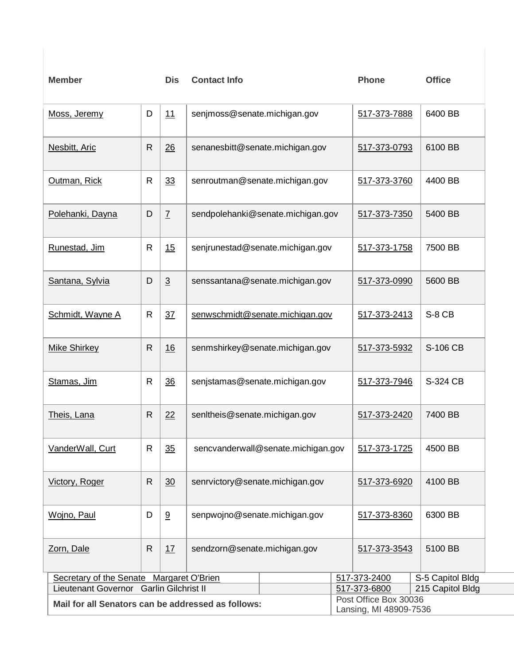| <b>Member</b>                                      |              | <b>Dis</b>     | <b>Contact Info</b>               |                                                  | <b>Phone</b>           | <b>Office</b>           |  |
|----------------------------------------------------|--------------|----------------|-----------------------------------|--------------------------------------------------|------------------------|-------------------------|--|
| Moss, Jeremy                                       | D            | 11             | senjmoss@senate.michigan.gov      | 517-373-7888                                     |                        |                         |  |
| Nesbitt, Aric                                      | $\mathsf{R}$ | 26             | senanesbitt@senate.michigan.gov   |                                                  | 517-373-0793           | 6100 BB                 |  |
| Outman, Rick                                       | $\mathsf{R}$ | 33             | senroutman@senate.michigan.gov    |                                                  | 517-373-3760           | 4400 BB                 |  |
| Polehanki, Dayna                                   | D            | $\overline{1}$ | sendpolehanki@senate.michigan.gov |                                                  | 517-373-7350           | 5400 BB                 |  |
| Runestad, Jim                                      | $\mathsf{R}$ | 15             |                                   | senjrunestad@senate.michigan.gov<br>517-373-1758 |                        |                         |  |
| Santana, Sylvia                                    | D            | $\overline{3}$ |                                   | senssantana@senate.michigan.gov<br>517-373-0990  |                        |                         |  |
| Schmidt, Wayne A                                   | R            | 37             | senwschmidt@senate.michigan.gov   | 517-373-2413                                     | S-8 CB                 |                         |  |
| <b>Mike Shirkey</b>                                | $\mathsf{R}$ | 16             |                                   | senmshirkey@senate.michigan.gov                  |                        |                         |  |
| Stamas, Jim                                        | $\mathsf{R}$ | 36             | senjstamas@senate.michigan.gov    |                                                  |                        |                         |  |
| Theis, Lana                                        | R            | 22             | senItheis@senate.michigan.gov     |                                                  |                        | 7400 BB<br>517-373-2420 |  |
| VanderWall, Curt                                   | ${\sf R}$    | $\frac{35}{5}$ |                                   | sencvanderwall@senate.michigan.gov               |                        | 4500 BB<br>517-373-1725 |  |
| Victory, Roger                                     | R            | 30             | senrvictory@senate.michigan.gov   |                                                  |                        | 4100 BB<br>517-373-6920 |  |
| Wojno, Paul                                        | D            | 9              | senpwojno@senate.michigan.gov     |                                                  |                        | 6300 BB<br>517-373-8360 |  |
| Zorn, Dale                                         | R.           | 17             | sendzorn@senate.michigan.gov      |                                                  | 517-373-3543           | 5100 BB                 |  |
| Secretary of the Senate Margaret O'Brien           |              |                |                                   |                                                  | 517-373-2400           | S-5 Capitol Bldg        |  |
| Lieutenant Governor Garlin Gilchrist II            |              |                |                                   |                                                  | 517-373-6800           | 215 Capitol Bldg        |  |
|                                                    |              |                |                                   |                                                  | Post Office Box 30036  |                         |  |
| Mail for all Senators can be addressed as follows: |              |                |                                   |                                                  | Lansing, MI 48909-7536 |                         |  |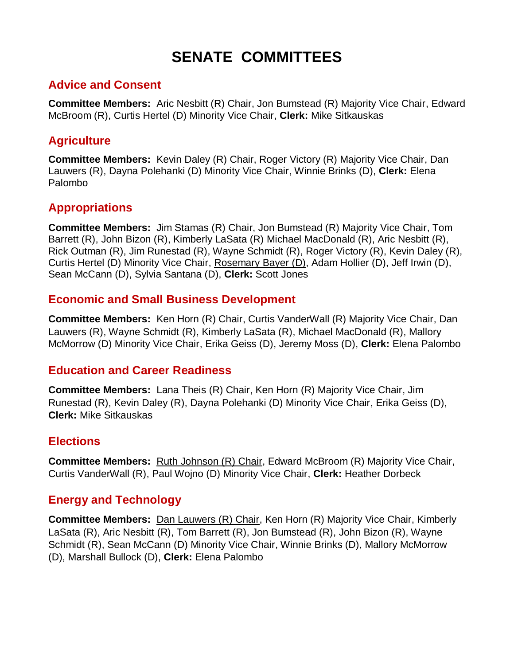# **SENATE COMMITTEES**

# **Advice and Consent**

**Committee Members:** [Aric Nesbitt \(R\) Chair,](http://www.senate.michigan.gov/Nesbitt) [Jon Bumstead \(R\) Majority Vice Chair,](http://www.senate.michigan.gov/Bumstead) [Edward](http://www.senate.michigan.gov/McBroom)  [McBroom \(R\),](http://www.senate.michigan.gov/McBroom) [Curtis Hertel \(D\) Minority Vice Chair,](http://www.senate.michigan.gov/Hertel) **Clerk:** [Mike Sitkauskas](mailto:ofcscc@senate.michigan.gov?Subject=Advice+and+Consent)

# **Agriculture**

**Committee Members:** [Kevin Daley \(R\) Chair,](http://www.senate.michigan.gov/Daley) [Roger Victory \(R\) Majority Vice Chair,](http://www.senate.michigan.gov/Victory) [Dan](http://www.senate.michigan.gov/Lauwers)  [Lauwers \(R\),](http://www.senate.michigan.gov/Lauwers) [Dayna Polehanki \(D\) Minority Vice Chair,](http://www.senate.michigan.gov/Polehanki) [Winnie Brinks \(D\),](http://www.senate.michigan.gov/Brinks) **Clerk:** [Elena](mailto:ofcscc@senate.michigan.gov?Subject=Agriculture)  [Palombo](mailto:ofcscc@senate.michigan.gov?Subject=Agriculture)

# **Appropriations**

**Committee Members:** [Jim Stamas \(R\) Chair,](http://www.senate.michigan.gov/Stamas) [Jon Bumstead \(R\) Majority Vice Chair,](http://www.senate.michigan.gov/Bumstead) [Tom](http://www.senate.michigan.gov/Barrett)  [Barrett \(R\),](http://www.senate.michigan.gov/Barrett) [John Bizon \(R\),](http://www.senate.michigan.gov/Bizon) [Kimberly LaSata \(R\)](http://www.senate.michigan.gov/LaSata) [Michael MacDonald \(R\),](http://www.senate.michigan.gov/MacDonald) [Aric Nesbitt \(R\),](http://www.senate.michigan.gov/Nesbitt) [Rick Outman \(R\),](http://www.senate.michigan.gov/Outman) [Jim Runestad \(R\),](http://www.senate.michigan.gov/Runestad) [Wayne Schmidt \(R\),](http://www.senate.michigan.gov/Schmidt) [Roger Victory \(R\),](http://www.senate.michigan.gov/Victory) [Kevin Daley \(R\),](http://www.senate.michigan.gov/Daley) [Curtis Hertel \(D\) Minority Vice Chair,](http://www.senate.michigan.gov/Hertel) [Rosemary Bayer \(D\),](http://www.senate.michigan.gov/Bayer) [Adam Hollier \(D\),](http://www.senate.michigan.gov/Hollier) [Jeff Irwin \(D\),](http://www.senate.michigan.gov/Irwin) [Sean McCann \(D\),](http://www.senate.michigan.gov/McCann) [Sylvia Santana \(D\),](http://www.senate.michigan.gov/Santana) **Clerk:** [Scott Jones](mailto:ofcscc@senate.michigan.gov?Subject=Appropriations)

# **Economic and Small Business Development**

**Committee Members:** [Ken Horn \(R\) Chair,](http://www.senate.michigan.gov/Horn) [Curtis VanderWall \(R\) Majority Vice Chair,](http://www.senate.michigan.gov/VanderWall) [Dan](http://www.senate.michigan.gov/Lauwers)  [Lauwers \(R\),](http://www.senate.michigan.gov/Lauwers) [Wayne Schmidt \(R\),](http://www.senate.michigan.gov/Schmidt) [Kimberly LaSata \(R\),](http://www.senate.michigan.gov/LaSata) [Michael MacDonald \(R\),](http://www.senate.michigan.gov/MacDonald) [Mallory](http://www.senate.michigan.gov/McMorrow)  [McMorrow \(D\) Minority Vice Chair,](http://www.senate.michigan.gov/McMorrow) [Erika Geiss \(D\),](http://www.senate.michigan.gov/Geiss) [Jeremy Moss \(D\),](http://www.senate.michigan.gov/Moss) **Clerk:** [Elena Palombo](mailto:ofcscc@senate.michigan.gov?Subject=Economic+and+Small+Business+Development)

# **Education and Career Readiness**

**Committee Members:** [Lana Theis \(R\) Chair,](http://www.senate.michigan.gov/Theis) [Ken Horn \(R\) Majority Vice Chair,](http://www.senate.michigan.gov/Horn) [Jim](http://www.senate.michigan.gov/Runestad)  [Runestad \(R\),](http://www.senate.michigan.gov/Runestad) [Kevin Daley \(R\),](http://www.senate.michigan.gov/Daley) [Dayna Polehanki \(D\) Minority Vice Chair,](http://www.senate.michigan.gov/Polehanki) [Erika Geiss \(D\),](http://www.senate.michigan.gov/Geiss) **Clerk:** [Mike Sitkauskas](mailto:ofcscc@senate.michigan.gov?Subject=Education+and+Career+Readiness)

# **Elections**

**Committee Members:** [Ruth Johnson \(R\) Chair,](http://www.senate.michigan.gov/Johnson) [Edward McBroom \(R\) Majority Vice Chair,](http://www.senate.michigan.gov/McBroom) [Curtis VanderWall \(R\),](http://www.senate.michigan.gov/VanderWall) [Paul Wojno \(D\) Minority Vice Chair,](http://www.senate.michigan.gov/Wojno) **Clerk:** [Heather Dorbeck](mailto:ofcscc@senate.michigan.gov?Subject=Elections)

# **Energy and Technology**

**Committee Members:** [Dan Lauwers \(R\) Chair,](http://www.senate.michigan.gov/Lauwers) [Ken Horn \(R\) Majority Vice Chair,](http://www.senate.michigan.gov/Horn) [Kimberly](http://www.senate.michigan.gov/LaSata)  [LaSata \(R\),](http://www.senate.michigan.gov/LaSata) [Aric Nesbitt \(R\),](http://www.senate.michigan.gov/Nesbitt) [Tom Barrett \(R\),](http://www.senate.michigan.gov/Barrett) [Jon Bumstead \(R\),](http://www.senate.michigan.gov/Bumstead) [John Bizon \(R\),](http://www.senate.michigan.gov/Bizon) [Wayne](http://www.senate.michigan.gov/Schmidt)  [Schmidt \(R\),](http://www.senate.michigan.gov/Schmidt) [Sean McCann \(D\) Minority Vice Chair,](http://www.senate.michigan.gov/McCann) [Winnie Brinks \(D\),](http://www.senate.michigan.gov/Brinks) [Mallory McMorrow](http://www.senate.michigan.gov/McMorrow)  [\(D\),](http://www.senate.michigan.gov/McMorrow) [Marshall Bullock \(D\),](http://www.senate.michigan.gov/Bullock) **Clerk:** [Elena Palombo](mailto:ofcscc@senate.michigan.gov?Subject=Energy+and+Technology)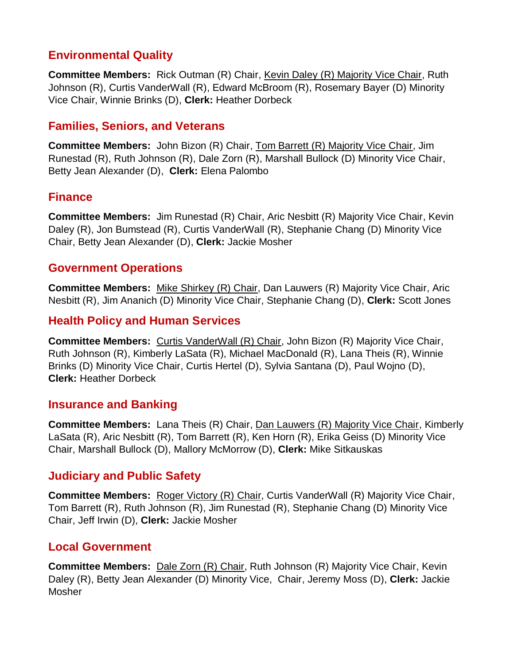# **Environmental Quality**

**Committee Members:** [Rick Outman \(R\) Chair,](http://www.senate.michigan.gov/Outman) [Kevin Daley \(R\) Majority Vice Chair,](http://www.senate.michigan.gov/Daley) [Ruth](http://www.senate.michigan.gov/Johnson)  [Johnson \(R\),](http://www.senate.michigan.gov/Johnson) [Curtis VanderWall \(R\),](http://www.senate.michigan.gov/VanderWall) [Edward McBroom \(R\),](http://www.senate.michigan.gov/McBroom) [Rosemary Bayer \(D\) Minority](http://www.senate.michigan.gov/Bayer)  [Vice Chair,](http://www.senate.michigan.gov/Bayer) [Winnie Brinks \(D\),](http://www.senate.michigan.gov/Brinks) **Clerk:** [Heather Dorbeck](mailto:ofcscc@senate.michigan.gov?Subject=Environmental+Quality)

# **Families, Seniors, and Veterans**

**Committee Members:** [John Bizon](http://www.senate.michigan.gov/Bizon) (R) Chair, [Tom Barrett \(R\) Majority Vice Chair,](http://www.senate.michigan.gov/Barrett) [Jim](http://www.senate.michigan.gov/Runestad)  [Runestad \(R\),](http://www.senate.michigan.gov/Runestad) [Ruth Johnson \(R\),](http://www.senate.michigan.gov/Johnson) [Dale Zorn \(R\),](http://www.senate.michigan.gov/Zorn) [Marshall Bullock \(D\) Minority Vice Chair,](http://www.senate.michigan.gov/Bullock) [Betty Jean Alexander \(D\),](http://www.senate.michigan.gov/Alexander) **Clerk:** [Elena Palombo](mailto:ofcscc@senate.michigan.gov?Subject=Families%2c+Seniors%2c+and+Veterans)

# **Finance**

**Committee Members:** [Jim Runestad \(R\) Chair,](http://www.senate.michigan.gov/Runestad) [Aric Nesbitt \(R\) Majority Vice Chair,](http://www.senate.michigan.gov/Nesbitt) [Kevin](http://www.senate.michigan.gov/Daley)  [Daley \(R\),](http://www.senate.michigan.gov/Daley) [Jon Bumstead \(R\),](http://www.senate.michigan.gov/Bumstead) [Curtis VanderWall \(R\),](http://www.senate.michigan.gov/VanderWall) [Stephanie Chang \(D\) Minority Vice](http://www.senate.michigan.gov/Chang)  [Chair,](http://www.senate.michigan.gov/Chang) [Betty Jean Alexander \(D\),](http://www.senate.michigan.gov/Alexander) **Clerk:** [Jackie Mosher](mailto:ofcscc@senate.michigan.gov?Subject=Finance)

# **Government Operations**

**Committee Members:** [Mike Shirkey \(R\) Chair,](http://www.senate.michigan.gov/Shirkey) [Dan Lauwers \(R\) Majority Vice Chair,](http://www.senate.michigan.gov/Lauwers) [Aric](http://www.senate.michigan.gov/Nesbitt)  [Nesbitt \(R\),](http://www.senate.michigan.gov/Nesbitt) [Jim Ananich \(D\) Minority Vice Chair,](http://www.senate.michigan.gov/Ananich) [Stephanie Chang \(D\),](http://www.senate.michigan.gov/Chang) **Clerk:** [Scott Jones](mailto:ofcscc@senate.michigan.gov?Subject=Government+Operations)

# **Health Policy and Human Services**

**Committee Members:** [Curtis VanderWall \(R\) Chair,](http://www.senate.michigan.gov/VanderWall) [John Bizon \(R\) Majority Vice Chair,](http://www.senate.michigan.gov/Bizon) [Ruth Johnson \(R\),](http://www.senate.michigan.gov/Johnson) [Kimberly LaSata \(R\),](http://www.senate.michigan.gov/LaSata) [Michael MacDonald \(R\),](http://www.senate.michigan.gov/MacDonald) [Lana Theis \(R\),](http://www.senate.michigan.gov/Theis) [Winnie](http://www.senate.michigan.gov/Brinks)  [Brinks \(D\) Minority Vice Chair,](http://www.senate.michigan.gov/Brinks) [Curtis Hertel \(D\),](http://www.senate.michigan.gov/Hertel) [Sylvia Santana \(D\),](http://www.senate.michigan.gov/Santana) [Paul Wojno \(D\),](http://www.senate.michigan.gov/Wojno) **Clerk:** [Heather Dorbeck](mailto:ofcscc@senate.michigan.gov?Subject=Health+Policy+and+Human+Services)

# **Insurance and Banking**

**Committee Members:** [Lana Theis \(R\) Chair,](http://www.senate.michigan.gov/Theis) [Dan Lauwers \(R\) Majority Vice Chair,](http://www.senate.michigan.gov/Lauwers) Kimberly [LaSata \(R\),](http://www.senate.michigan.gov/LaSata) [Aric Nesbitt \(R\),](http://www.senate.michigan.gov/Nesbitt) [Tom Barrett \(R\),](http://www.senate.michigan.gov/Barrett) [Ken Horn \(R\),](http://www.senate.michigan.gov/Horn) [Erika Geiss \(D\) Minority Vice](http://www.senate.michigan.gov/Geiss)  [Chair,](http://www.senate.michigan.gov/Geiss) [Marshall Bullock \(D\),](http://www.senate.michigan.gov/Bullock) [Mallory McMorrow \(D\),](http://www.senate.michigan.gov/McMorrow) **Clerk:** [Mike Sitkauskas](mailto:ofcscc@senate.michigan.gov?Subject=Insurance+and+Banking)

# **Judiciary and Public Safety**

**Committee Members:** [Roger Victory \(R\) Chair,](http://www.senate.michigan.gov/Victory) [Curtis VanderWall \(R\) Majority Vice Chair,](http://www.senate.michigan.gov/VanderWall) [Tom Barrett \(R\),](http://www.senate.michigan.gov/Barrett) [Ruth Johnson \(R\),](http://www.senate.michigan.gov/Johnson) [Jim Runestad \(R\),](http://www.senate.michigan.gov/Runestad) [Stephanie Chang \(D\) Minority Vice](http://www.senate.michigan.gov/Chang)  [Chair,](http://www.senate.michigan.gov/Chang) [Jeff Irwin \(D\),](http://www.senate.michigan.gov/Irwin) **Clerk:** [Jackie Mosher](mailto:ofcscc@senate.michigan.gov?Subject=Judiciary+and+Public+Safety)

# **Local Government**

**Committee Members:** [Dale Zorn \(R\) Chair,](http://www.senate.michigan.gov/Zorn) [Ruth Johnson \(R\) Majority Vice Chair,](http://www.senate.michigan.gov/Johnson) Kevin [Daley \(R\),](http://www.senate.michigan.gov/Daley) [Betty Jean Alexander \(D\) Minority Vice, Chair,](http://www.senate.michigan.gov/Alexander) [Jeremy Moss \(D\),](http://www.senate.michigan.gov/Moss) **Clerk:** [Jackie](mailto:ofcscc@senate.michigan.gov?Subject=Local+Government)  [Mosher](mailto:ofcscc@senate.michigan.gov?Subject=Local+Government)